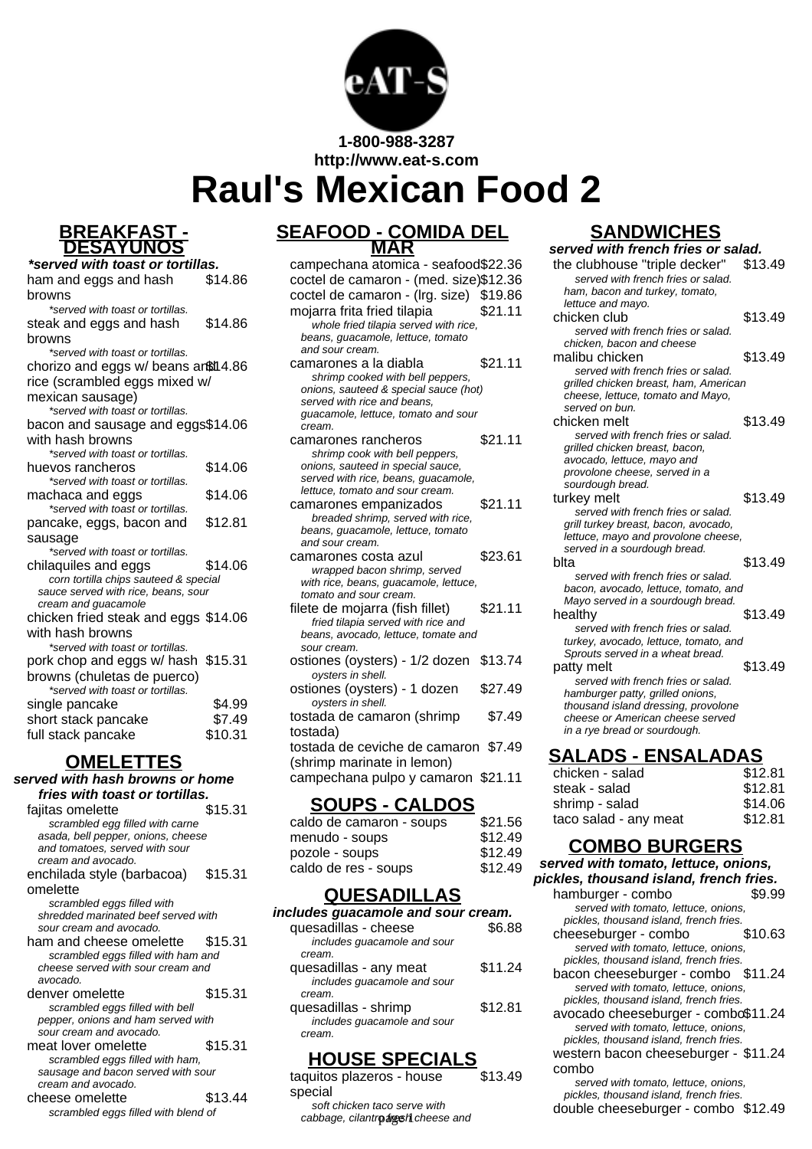

**1-800-988-3287**

**http://www.eat-s.com**

# **Raul's Mexican Food 2**

#### **BREAKFAST - DESAYUNOS**

| *served with toast or tortillas.                                             |         |
|------------------------------------------------------------------------------|---------|
| ham and eggs and hash                                                        | \$14.86 |
| browns                                                                       |         |
| *served with toast or tortillas.                                             |         |
| steak and eggs and hash                                                      | \$14.86 |
| browns                                                                       |         |
| *served with toast or tortillas.                                             |         |
| chorizo and eggs w/ beans artil 4.86                                         |         |
| rice (scrambled eggs mixed w/                                                |         |
| mexican sausage)                                                             |         |
| *served with toast or tortillas.                                             |         |
| bacon and sausage and eggs\$14.06                                            |         |
| with hash browns                                                             |         |
| *served with toast or tortillas.                                             |         |
| huevos rancheros                                                             | \$14.06 |
| *served with toast or tortillas.                                             |         |
| machaca and eggs                                                             | \$14.06 |
| *served with toast or tortillas.                                             |         |
| pancake, eggs, bacon and                                                     | \$12.81 |
| sausage                                                                      |         |
| *served with toast or tortillas.                                             |         |
| chilaquiles and eggs                                                         | \$14.06 |
| corn tortilla chips sauteed & special<br>sauce served with rice, beans, sour |         |
| cream and guacamole                                                          |         |
| chicken fried steak and eggs \$14.06                                         |         |
| with hash browns                                                             |         |
| *served with toast or tortillas.                                             |         |
| pork chop and eggs w/ hash \$15.31                                           |         |
| browns (chuletas de puerco)                                                  |         |
| *served with toast or tortillas.                                             |         |
| single pancake                                                               | \$4.99  |
| short stack pancake                                                          | \$7.49  |
| full stack pancake                                                           | \$10.31 |
|                                                                              |         |

## **OMELETTES**

#### **served with hash browns or home fries with toast or tortillas.**

| fajitas omelette                    | \$15.31 |
|-------------------------------------|---------|
| scrambled egg filled with carne     |         |
| asada, bell pepper, onions, cheese  |         |
| and tomatoes, served with sour      |         |
| cream and avocado.                  |         |
| enchilada style (barbacoa)          | \$15.31 |
| omelette                            |         |
| scrambled eggs filled with          |         |
| shredded marinated beef served with |         |
| sour cream and avocado.             |         |
| ham and cheese omelette             | \$15.31 |
| scrambled eggs filled with ham and  |         |
| cheese served with sour cream and   |         |
| avocado.                            |         |
| denver omelette                     | \$15.31 |
| scrambled eggs filled with bell     |         |
| pepper, onions and ham served with  |         |
| sour cream and avocado.             |         |
| meat lover omelette                 | \$15.31 |
| scrambled eggs filled with ham,     |         |
| sausage and bacon served with sour  |         |
| cream and avocado.                  |         |
| cheese omelette                     | \$13.44 |
|                                     |         |
| scrambled eggs filled with blend of |         |

### **SEAFOOD - COMIDA DEL MAR**

campechana atomica - seafood\$22.36 coctel de camaron - (med. size)\$12.36 coctel de camaron - (Irg. size) \$19.86 mojarra frita fried tilapia \$21.11 whole fried tilapia served with rice. beans, guacamole, lettuce, tomato and sour cream. camarones a la diabla  $$21.11$ shrimp cooked with bell peppers. onions, sauteed & special sauce (hot) served with rice and beans, guacamole, lettuce, tomato and sour cream. camarones rancheros \$21.11 shrimp cook with bell peppers, onions, sauteed in special sauce, served with rice, beans, guacamole, lettuce, tomato and sour cream. camarones empanizados \$21.11 breaded shrimp, served with rice, beans, guacamole, lettuce, tomato and sour cream. camarones costa azul \$23.61 wrapped bacon shrimp, served with rice, beans, quacamole, lettuce, tomato and sour cream. filete de mojarra (fish fillet) \$21.11 fried tilapia served with rice and beans, avocado, lettuce, tomate and sour cream. ostiones (oysters) - 1/2 dozen \$13.74 oysters in shell. ostiones (oysters) - 1 dozen \$27.49 oysters in shell. tostada de camaron (shrimp tostada) \$7.49 tostada de ceviche de camaron \$7.49 (shrimp marinate in lemon)

campechana pulpo y camaron \$21.11

### **SOUPS - CALDOS**

| caldo de camaron - soups | \$21.56 |
|--------------------------|---------|
| menudo - soups           | \$12.49 |
| pozole - soups           | \$12.49 |
| caldo de res - soups     | \$12.49 |

## **QUESADILLAS**

| includes guacamole and sour cream.                              |         |
|-----------------------------------------------------------------|---------|
| quesadillas - cheese<br>includes guacamole and sour             | \$6.88  |
| cream.                                                          |         |
| quesadillas - any meat<br>includes guacamole and sour<br>cream. | \$11.24 |
| quesadillas - shrimp<br>includes quacamole and sour<br>cream.   | \$12.81 |

## **HOUSE SPECIALS**

| taquitos plazeros - house    | \$13.49 |
|------------------------------|---------|
| special                      |         |
| soft chicken taco serve with |         |

## cabbage, cilantro aresh cheese and

## **SANDWICHES**

| served with french fries or salad.                                      |         |
|-------------------------------------------------------------------------|---------|
| the clubhouse "triple decker"                                           | \$13.49 |
| served with french fries or salad.                                      |         |
| ham, bacon and turkey, tomato,                                          |         |
| lettuce and mayo.                                                       |         |
| chicken club                                                            | \$13.49 |
| served with french fries or salad.                                      |         |
| chicken, bacon and cheese                                               |         |
| malibu chicken                                                          | \$13.49 |
| served with french fries or salad.                                      |         |
| grilled chicken breast, ham, American                                   |         |
| cheese, lettuce, tomato and Mayo,                                       |         |
| served on bun.                                                          |         |
| chicken melt                                                            | \$13.49 |
| served with french fries or salad.                                      |         |
| grilled chicken breast, bacon,                                          |         |
| avocado, lettuce, mayo and<br>provolone cheese, served in a             |         |
| sourdough bread.                                                        |         |
| turkey melt                                                             | \$13.49 |
| served with french fries or salad.                                      |         |
| grill turkey breast, bacon, avocado,                                    |         |
| lettuce, mayo and provolone cheese,                                     |         |
| served in a sourdough bread.                                            |         |
| blta                                                                    | \$13.49 |
| served with french fries or salad.                                      |         |
| bacon, avocado, lettuce, tomato, and                                    |         |
| Mayo served in a sourdough bread.                                       |         |
| healthy                                                                 | \$13.49 |
| served with french fries or salad.                                      |         |
| turkey, avocado, lettuce, tomato, and                                   |         |
| Sprouts served in a wheat bread.                                        |         |
| patty melt                                                              | \$13.49 |
| served with french fries or salad.                                      |         |
| hamburger patty, grilled onions,<br>thousand island dressing, provolone |         |
| cheese or American cheese served                                        |         |
| in a rye bread or sourdough.                                            |         |
|                                                                         |         |
| SALADS - ENSALADAS                                                      |         |

| JALADU – LIIUALADAU   |         |
|-----------------------|---------|
| chicken - salad       | \$12.81 |
| steak - salad         | \$12.81 |
| shrimp - salad        | \$14.06 |
| taco salad - any meat | \$12.81 |

## **COMBO BURGERS**

**served with tomato, lettuce, onions, pickles, thousand island, french fries.**

- hamburger combo \$9.99 served with tomato, lettuce, onions, pickles, thousand island, french fries. cheeseburger - combo \$10.63 served with tomato, lettuce, onions, pickles, thousand island, french fries. bacon cheeseburger - combo \$11.24 served with tomato, lettuce, onions,
- pickles, thousand island, french fries. avocado cheeseburger - combo\$11.24 served with tomato, lettuce, onions, pickles, thousand island, french fries. western bacon cheeseburger - \$11.24

#### combo

served with tomato, lettuce, onions, pickles, thousand island, french fries. double cheeseburger - combo \$12.49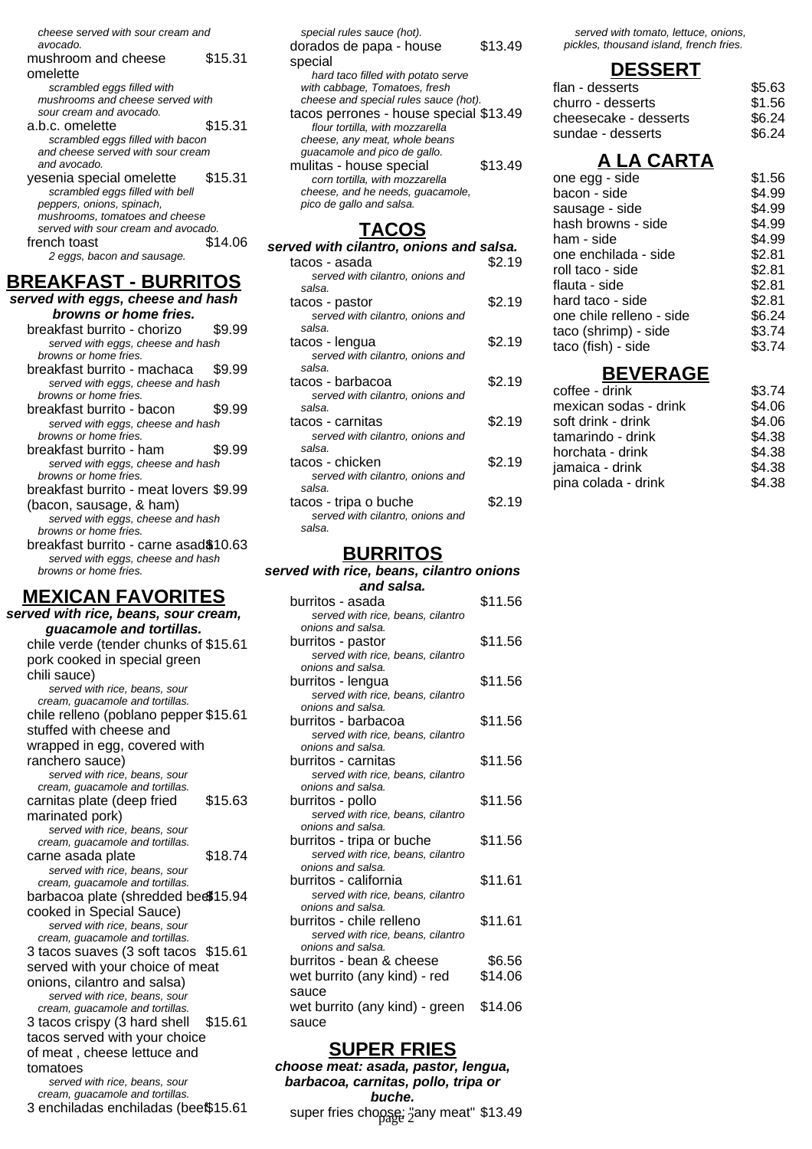cheese served with sour cream and

- avocado. mushroom and cheese omelette \$15.31 scrambled eggs filled with mushrooms and cheese served with sour cream and avocado. a.b.c. omelette \$15.31 scrambled eggs filled with bacon and cheese served with sour cream and avocado. yesenia special omelette \$15.31 scrambled eggs filled with bell peppers, onions, spinach, mushrooms, tomatoes and cheese served with sour cream and avocado. french toast \$14.06
- 2 eggs, bacon and sausage.

## **BREAKFAST - BURRITOS**

| .<br>-------                                               |        |
|------------------------------------------------------------|--------|
| served with eggs, cheese and hash                          |        |
| browns or home fries.                                      |        |
| breakfast burrito - chorizo                                | \$9.99 |
| served with eggs, cheese and hash                          |        |
| browns or home fries.                                      |        |
| breakfast burrito - machaca                                | \$9.99 |
| served with eggs, cheese and hash                          |        |
| browns or home fries.                                      |        |
| breakfast burrito - bacon                                  | \$9.99 |
| served with eggs, cheese and hash                          |        |
| browns or home fries.                                      |        |
| breakfast burrito - ham                                    | \$9.99 |
| served with eggs, cheese and hash                          |        |
| browns or home fries.                                      |        |
| breakfast burrito - meat lovers \$9.99                     |        |
| (bacon, sausage, & ham)                                    |        |
| served with eggs, cheese and hash                          |        |
| browns or home fries.                                      |        |
| breakfast burrito - carne asad\$10.63                      |        |
| served with eggs, cheese and hash<br>browns or home fries. |        |
|                                                            |        |
| <b>MEXICAN FAVORITES</b>                                   |        |
|                                                            |        |
| served with rice, beans, sour cream,                       |        |

**guacamole and tortillas.** chile verde (tender chunks of \$15.61 pork cooked in special green chili sauce) served with rice, beans, sour cream, guacamole and tortillas. chile relleno (poblano pepper \$15.61 stuffed with cheese and wrapped in egg, covered with ranchero sauce) served with rice, beans, sour cream, guacamole and tortillas. carnitas plate (deep fried marinated pork) \$15.63 served with rice, beans, sour cream, guacamole and tortillas. carne asada plate \$18.74 served with rice, beans, sour cream, guacamole and tortillas. barbacoa plate (shredded beef \$15.94 cooked in Special Sauce) served with rice, beans, sour cream, guacamole and tortillas. 3 tacos suaves (3 soft tacos \$15.61 served with your choice of meat onions, cilantro and salsa) served with rice, beans, sour cream, guacamole and tortillas. 3 tacos crispy (3 hard shell tacos served with your choice of meat , cheese lettuce and tomatoes \$15.61 served with rice, beans, sour cream, guacamole and tortillas. 3 enchiladas enchiladas (bee\$15.61

| special rules sauce (hot).<br>dorados de papa - house<br>special | \$13.49 |
|------------------------------------------------------------------|---------|
| hard taco filled with potato serve                               |         |
| with cabbage, Tomatoes, fresh                                    |         |
| cheese and special rules sauce (hot).                            |         |
| tacos perrones - house special \$13.49                           |         |
| flour tortilla, with mozzarella                                  |         |
| cheese, any meat, whole beans                                    |         |
| guacamole and pico de gallo.                                     |         |
| mulitas - house special                                          | \$13.49 |
| corn tortilla, with mozzarella                                   |         |
| cheese, and he needs, quacamole,                                 |         |
| pico de gallo and salsa.                                         |         |
|                                                                  |         |

#### **TACOS**

| served with cilantro, onions and salsa.                             |        |
|---------------------------------------------------------------------|--------|
| tacos - asada<br>served with cilantro, onions and<br>salsa.         | \$2.19 |
| tacos - pastor<br>served with cilantro, onions and<br>salsa.        | \$2.19 |
| tacos - lengua<br>served with cilantro, onions and<br>salsa.        | \$2.19 |
| tacos - barbacoa<br>served with cilantro, onions and<br>salsa.      | \$2.19 |
| tacos - carnitas<br>served with cilantro, onions and<br>salsa.      | \$2.19 |
| tacos - chicken<br>served with cilantro, onions and<br>salsa.       | \$2.19 |
| tacos - tripa o buche<br>served with cilantro, onions and<br>salsa. | \$2.19 |

#### **BURRITOS**

#### **served with rice, beans, cilantro onions**

| and salsa.                                                     |         |
|----------------------------------------------------------------|---------|
| burritos - asada                                               | \$11.56 |
| served with rice, beans, cilantro                              |         |
| onions and salsa.                                              |         |
| burritos - pastor                                              | \$11.56 |
| served with rice, beans, cilantro                              |         |
| onions and salsa.                                              |         |
| burritos - lengua                                              | \$11.56 |
| served with rice, beans, cilantro                              |         |
| onions and salsa.                                              |         |
| burritos - barbacoa                                            | \$11.56 |
| served with rice, beans, cilantro                              |         |
| onions and salsa.                                              |         |
| burritos - carnitas                                            | \$11.56 |
| served with rice, beans, cilantro<br>onions and salsa.         |         |
|                                                                |         |
| burritos - pollo                                               | \$11.56 |
| served with rice, beans, cilantro<br>onions and salsa.         |         |
|                                                                | \$11.56 |
| burritos - tripa or buche<br>served with rice, beans, cilantro |         |
| onions and salsa.                                              |         |
| burritos - california                                          | \$11.61 |
| served with rice, beans, cilantro                              |         |
| onions and salsa.                                              |         |
| burritos - chile relleno                                       | \$11.61 |
| served with rice, beans, cilantro                              |         |
| onions and salsa.                                              |         |
| burritos - bean & cheese                                       | \$6.56  |
| wet burrito (any kind) - red                                   | \$14.06 |
| sauce                                                          |         |
|                                                                |         |
| wet burrito (any kind) - green                                 | \$14.06 |
| sauce                                                          |         |

#### **SUPER FRIES**

**choose meat: asada, pastor, lengua, barbacoa, carnitas, pollo, tripa or buche.** super fries choose: "any meat" \$13.49

served with tomato, lettuce, onions, pickles, thousand island, french fries.

#### **DESSERT**

| flan - desserts       | \$5.63 |
|-----------------------|--------|
| churro - desserts     | \$1.56 |
| cheesecake - desserts | \$6.24 |
| sundae - desserts     | \$6.24 |
|                       |        |

## **A LA CARTA**

| one egg - side           | \$1.56 |
|--------------------------|--------|
| bacon - side             | \$4.99 |
| sausage - side           | \$4.99 |
| hash browns - side       | \$4.99 |
| ham - side               | \$4.99 |
| one enchilada - side     | \$2.81 |
| roll taco - side         | \$2.81 |
| flauta - side            | \$2.81 |
| hard taco - side         | \$2.81 |
| one chile relleno - side | \$6.24 |
| taco (shrimp) - side     | \$3.74 |
| taco (fish) - side       | \$3.74 |
|                          |        |

## **BEVERAGE**

| coffee - drink        | \$3.74 |
|-----------------------|--------|
| mexican sodas - drink | \$4.06 |
| soft drink - drink    | \$4.06 |
| tamarindo - drink     | \$4.38 |
| horchata - drink      | \$4.38 |
| jamaica - drink       | \$4.38 |
| pina colada - drink   | \$4.38 |
|                       |        |